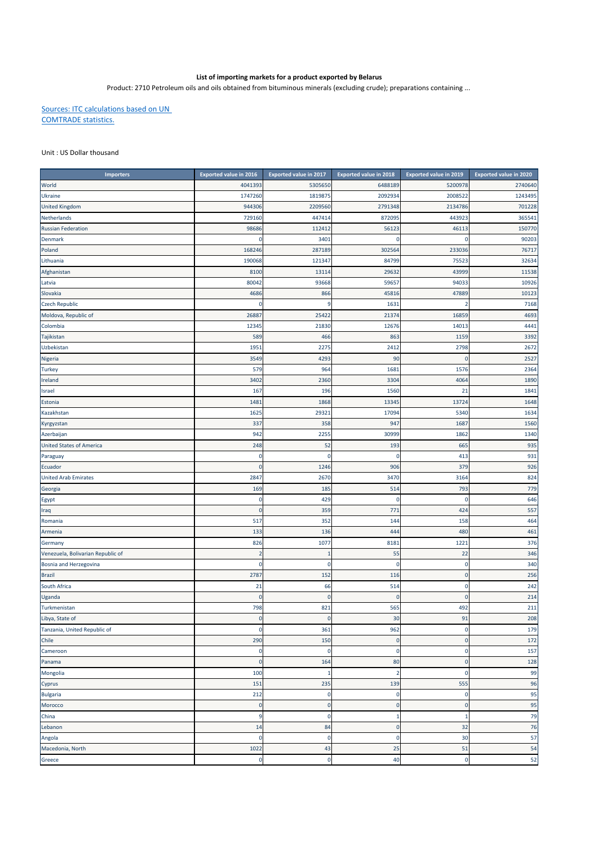## **List of importing markets for a product exported by Belarus**

Product: 2710 Petroleum oils and oils obtained from bituminous minerals (excluding crude); preparations containing ...

Sources: ITC calculations based on UN COMTRADE statistics.

## Unit : US Dollar thousand

| Importers                         | <b>Exported value in 2016</b> | <b>Exported value in 2017</b> | <b>Exported value in 2018</b> | <b>Exported value in 2019</b> | <b>Exported value in 2020</b> |
|-----------------------------------|-------------------------------|-------------------------------|-------------------------------|-------------------------------|-------------------------------|
| World                             | 4041393                       | 5305650                       | 6488189                       | 5200978                       | 2740640                       |
| Ukraine                           | 1747260                       | 1819875                       | 2092934                       | 2008522                       | 1243495                       |
| <b>United Kingdom</b>             | 944306                        | 2209560                       | 2791348                       | 2134786                       | 701228                        |
| Netherlands                       | 729160                        | 447414                        | 872095                        | 443923                        | 365541                        |
| <b>Russian Federation</b>         | 98686                         | 112412                        | 56123                         | 46113                         | 150770                        |
| Denmark                           | 0                             | 3401                          | $\bf 0$                       | n                             | 90203                         |
| Poland                            | 168246                        | 287189                        | 302564                        | 233036                        | 76717                         |
| Lithuania                         | 190068                        | 121347                        | 84799                         | 75523                         | 32634                         |
| Afghanistan                       | 8100                          | 13114                         | 29632                         | 43999                         | 11538                         |
| Latvia                            | 80042                         | 93668                         | 59657                         | 94033                         | 10926                         |
| Slovakia                          | 4686                          | 866                           | 45816                         | 47889                         | 10123                         |
| <b>Czech Republic</b>             |                               | 9                             | 1631                          |                               | 7168                          |
| Moldova, Republic of              | 26887                         | 25422                         | 21374                         | 16859                         | 4693                          |
| Colombia                          | 12345                         | 21830                         | 12676                         | 14013                         | 4441                          |
| Tajikistan                        | 589                           | 466                           | 863                           | 1159                          | 3392                          |
| Uzbekistan                        | 1951                          | 2275                          | 2412                          | 2798                          | 2672                          |
| Nigeria                           | 3549                          | 4293                          | 90                            |                               | 2527                          |
| <b>Turkey</b>                     | 579                           | 964                           | 1681                          | 1576                          | 2364                          |
| Ireland                           | 3402                          | 2360                          | 3304                          | 4064                          | 1890                          |
| Israel                            | 167                           | 196                           | 1560                          | 21                            | 1841                          |
| Estonia                           | 1481                          | 1868                          | 13345                         | 13724                         | 1648                          |
| Kazakhstan                        | 1625                          | 29321                         | 17094                         | 5340                          | 1634                          |
| Kyrgyzstan                        | 337                           | 358                           | 947                           | 1687                          | 1560                          |
| Azerbaijan                        | 942                           | 2255                          | 30999                         | 1862                          | 1340                          |
| <b>United States of America</b>   | 248                           | 52                            | 193                           | 665                           | 935                           |
| Paraguay                          | 0                             | $\mathbf 0$                   | $\pmb{0}$                     | 413                           | 931                           |
| Ecuador                           | C                             | 1246                          | 906                           | 379                           | 926                           |
| <b>United Arab Emirates</b>       | 2847                          | 2670                          | 3470                          | 3164                          | 824                           |
| Georgia                           | 169                           | 185                           | 514                           | 793                           | 779                           |
| Egypt                             | 0                             | 429                           | 0                             | $\Omega$                      | 646                           |
| Iraq                              | $\pmb{0}$                     | 359                           | 771                           | 424                           | 557                           |
| Romania                           | 517                           | 352                           | 144                           | 158                           | 464                           |
| Armenia                           | 133                           | 136                           | 444                           | 480                           | 461                           |
| Germany                           | 826                           | 1077                          | 8181                          | 1221                          | 376                           |
| Venezuela, Bolivarian Republic of | $\overline{2}$                | п                             | 55                            | 22                            | 346                           |
| Bosnia and Herzegovina            | 0                             | 0                             | $\pmb{0}$                     | $\mathbf 0$                   | 340                           |
| <b>Brazil</b>                     | 2787                          | 152                           | 116                           | $\Omega$                      | 256                           |
| South Africa                      | 21                            | 66                            | 514                           | $\mathbf 0$                   | 242                           |
| Uganda                            | $\Omega$                      | $\bf{0}$                      | $\mathbf 0$                   | $\Omega$                      | 214                           |
| Turkmenistan                      | 798                           | 821                           | 565                           | 492                           | 211                           |
| Libya, State of                   | $\pmb{0}$                     | $\mathbf 0$                   | 30                            | 91                            | 208                           |
| Tanzania, United Republic of      | 0                             | 361                           | 962                           | $\Omega$                      | 179                           |
| Chile                             | 290                           | 150                           | $\mathbf 0$                   | $\pmb{0}$                     | 172                           |
| Cameroon                          | 0                             | $\mathbf 0$                   | $\pmb{0}$                     | $\mathbf 0$                   | 157                           |
| Panama                            | $\pmb{0}$                     | 164                           | 80                            | $\mathbf{0}$                  | 128                           |
| Mongolia                          | 100                           | 1                             | $\overline{2}$                | $\mathbf 0$                   | 99                            |
| Cyprus                            | 151                           | 235                           | 139                           | 555                           | 96                            |
| <b>Bulgaria</b>                   | 212                           | 0                             | 0                             | 0                             | 95                            |
| Morocco                           | $\pmb{0}$                     | $\mathbf 0$                   | $\pmb{0}$                     | $\mathbf 0$                   | 95                            |
| China                             | 9                             | 0                             | $1\,$                         | $\mathbf{1}$                  | 79                            |
| Lebanon                           | 14                            | 84                            | $\pmb{0}$                     | 32                            | 76                            |
| Angola                            | 0                             | $\mathbf 0$                   | 0                             | 30                            | 57                            |
| Macedonia, North                  | 1022                          | 43                            | 25                            | 51                            | 54                            |
| Greece                            | 0                             | $\mathbf 0$                   | 40                            | $\mathbf 0$                   | 52                            |
|                                   |                               |                               |                               |                               |                               |